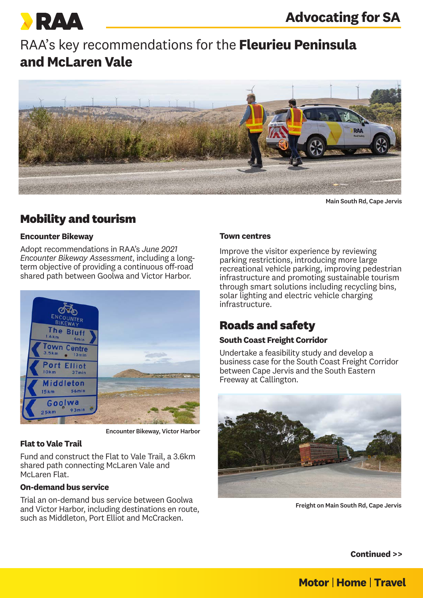

# RAA's key recommendations for the **Fleurieu Peninsula and McLaren Vale**



Main South Rd, Cape Jervis

# **Mobility and tourism**

### **Encounter Bikeway**

Adopt recommendations in RAA's *June 2021 Encounter Bikeway Assessment*, including a longterm objective of providing a continuous off-road shared path between Goolwa and Victor Harbor.



Encounter Bikeway, Victor Harbor

## **Flat to Vale Trail**

Fund and construct the Flat to Vale Trail, a 3.6km shared path connecting McLaren Vale and McLaren Flat.

#### **On-demand bus service**

Trial an on-demand bus service between Goolwa and Victor Harbor, including destinations en route, such as Middleton, Port Elliot and McCracken.

#### **Town centres**

Improve the visitor experience by reviewing parking restrictions, introducing more large recreational vehicle parking, improving pedestrian infrastructure and promoting sustainable tourism through smart solutions including recycling bins, solar lighting and electric vehicle charging infrastructure.

# **Roads and safety**

## **South Coast Freight Corridor**

Undertake a feasibility study and develop a business case for the South Coast Freight Corridor between Cape Jervis and the South Eastern Freeway at Callington.



Freight on Main South Rd, Cape Jervis

**Continued >>**

# **Motor | Home | Travel**